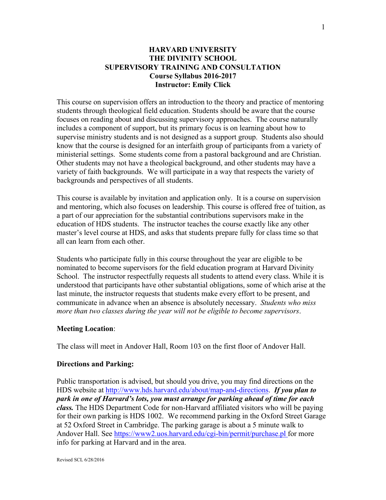## **HARVARD UNIVERSITY THE DIVINITY SCHOOL SUPERVISORY TRAINING AND CONSULTATION Course Syllabus 2016-2017 Instructor: Emily Click**

This course on supervision offers an introduction to the theory and practice of mentoring students through theological field education. Students should be aware that the course focuses on reading about and discussing supervisory approaches. The course naturally includes a component of support, but its primary focus is on learning about how to supervise ministry students and is not designed as a support group. Students also should know that the course is designed for an interfaith group of participants from a variety of ministerial settings. Some students come from a pastoral background and are Christian. Other students may not have a theological background, and other students may have a variety of faith backgrounds. We will participate in a way that respects the variety of backgrounds and perspectives of all students.

This course is available by invitation and application only. It is a course on supervision and mentoring, which also focuses on leadership. This course is offered free of tuition, as a part of our appreciation for the substantial contributions supervisors make in the education of HDS students. The instructor teaches the course exactly like any other master's level course at HDS, and asks that students prepare fully for class time so that all can learn from each other.

Students who participate fully in this course throughout the year are eligible to be nominated to become supervisors for the field education program at Harvard Divinity School. The instructor respectfully requests all students to attend every class. While it is understood that participants have other substantial obligations, some of which arise at the last minute, the instructor requests that students make every effort to be present, and communicate in advance when an absence is absolutely necessary. *Students who miss more than two classes during the year will not be eligible to become supervisors*.

#### **Meeting Location**:

The class will meet in Andover Hall, Room 103 on the first floor of Andover Hall.

### **Directions and Parking:**

Public transportation is advised, but should you drive, you may find directions on the HDS website at http://www.hds.harvard.edu/about/map-and-directions. *If you plan to park in one of Harvard's lots, you must arrange for parking ahead of time for each class.* The HDS Department Code for non-Harvard affiliated visitors who will be paying for their own parking is HDS 1002. We recommend parking in the Oxford Street Garage at 52 Oxford Street in Cambridge. The parking garage is about a 5 minute walk to Andover Hall. See https://www2.uos.harvard.edu/cgi-bin/permit/purchase.pl for more info for parking at Harvard and in the area.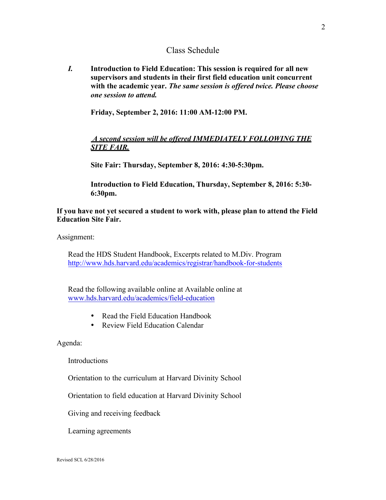## Class Schedule

*I.* **Introduction to Field Education: This session is required for all new supervisors and students in their first field education unit concurrent with the academic year.** *The same session is offered twice. Please choose one session to attend.*

**Friday, September 2, 2016: 11:00 AM-12:00 PM.**

## *A second session will be offered IMMEDIATELY FOLLOWING THE SITE FAIR.*

**Site Fair: Thursday, September 8, 2016: 4:30-5:30pm.**

**Introduction to Field Education, Thursday, September 8, 2016: 5:30- 6:30pm.**

## **If you have not yet secured a student to work with, please plan to attend the Field Education Site Fair.**

Assignment:

Read the HDS Student Handbook, Excerpts related to M.Div. Program http://www.hds.harvard.edu/academics/registrar/handbook-for-students

Read the following available online at Available online at www.hds.harvard.edu/academics/field-education

- Read the Field Education Handbook
- Review Field Education Calendar

Agenda:

Introductions

Orientation to the curriculum at Harvard Divinity School

Orientation to field education at Harvard Divinity School

Giving and receiving feedback

Learning agreements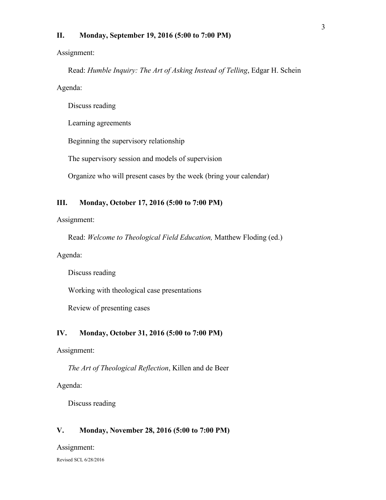### **II. Monday, September 19, 2016 (5:00 to 7:00 PM)**

Assignment:

Read: *Humble Inquiry: The Art of Asking Instead of Telling*, Edgar H. Schein Agenda:

Discuss reading

Learning agreements

Beginning the supervisory relationship

The supervisory session and models of supervision

Organize who will present cases by the week (bring your calendar)

### **III. Monday, October 17, 2016 (5:00 to 7:00 PM)**

Assignment:

Read: *Welcome to Theological Field Education,* Matthew Floding (ed.)

Agenda:

Discuss reading

Working with theological case presentations

Review of presenting cases

### **IV. Monday, October 31, 2016 (5:00 to 7:00 PM)**

Assignment:

*The Art of Theological Reflection*, Killen and de Beer

Agenda:

Discuss reading

#### **V. Monday, November 28, 2016 (5:00 to 7:00 PM)**

Assignment:

Revised SCL 6/28/2016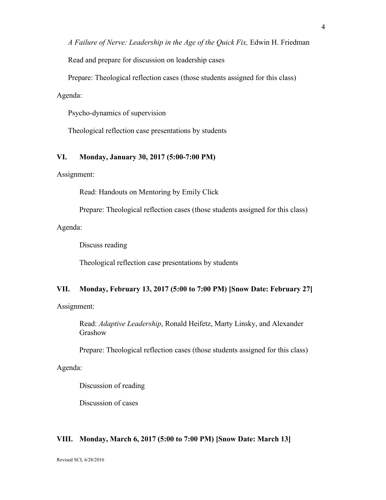*A Failure of Nerve: Leadership in the Age of the Quick Fix,* Edwin H. Friedman

Read and prepare for discussion on leadership cases

Prepare: Theological reflection cases (those students assigned for this class)

Agenda:

Psycho-dynamics of supervision

Theological reflection case presentations by students

### **VI. Monday, January 30, 2017 (5:00-7:00 PM)**

Assignment:

Read: Handouts on Mentoring by Emily Click

Prepare: Theological reflection cases (those students assigned for this class)

Agenda:

Discuss reading

Theological reflection case presentations by students

## **VII. Monday, February 13, 2017 (5:00 to 7:00 PM) [Snow Date: February 27]**

Assignment:

Read: *Adaptive Leadership*, Ronald Heifetz, Marty Linsky, and Alexander Grashow

Prepare: Theological reflection cases (those students assigned for this class)

Agenda:

Discussion of reading

Discussion of cases

### **VIII. Monday, March 6, 2017 (5:00 to 7:00 PM) [Snow Date: March 13]**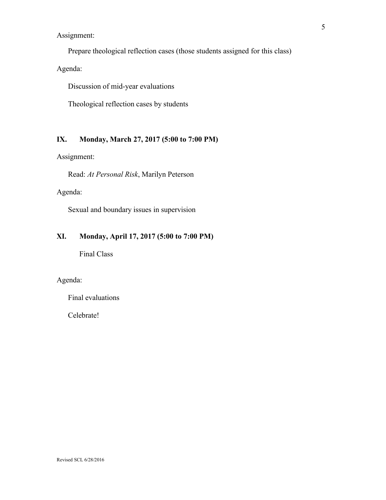Assignment:

Prepare theological reflection cases (those students assigned for this class)

Agenda:

Discussion of mid-year evaluations

Theological reflection cases by students

## **IX. Monday, March 27, 2017 (5:00 to 7:00 PM)**

Assignment:

Read: *At Personal Risk*, Marilyn Peterson

Agenda:

Sexual and boundary issues in supervision

## **XI. Monday, April 17, 2017 (5:00 to 7:00 PM)**

Final Class

## Agenda:

Final evaluations

Celebrate!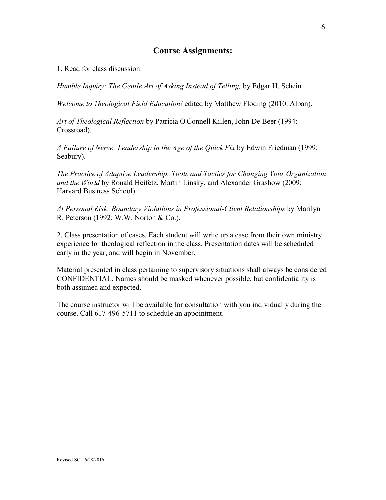# **Course Assignments:**

1. Read for class discussion:

*Humble Inquiry: The Gentle Art of Asking Instead of Telling,* by Edgar H. Schein

*Welcome to Theological Field Education!* edited by Matthew Floding (2010: Alban).

*Art of Theological Reflection* by Patricia O'Connell Killen, John De Beer (1994: Crossroad).

*A Failure of Nerve: Leadership in the Age of the Quick Fix* by Edwin Friedman (1999: Seabury).

*The Practice of Adaptive Leadership: Tools and Tactics for Changing Your Organization and the World* by Ronald Heifetz, Martin Linsky, and Alexander Grashow (2009: Harvard Business School).

*At Personal Risk: Boundary Violations in Professional-Client Relationships* by Marilyn R. Peterson (1992: W.W. Norton & Co.).

2. Class presentation of cases. Each student will write up a case from their own ministry experience for theological reflection in the class. Presentation dates will be scheduled early in the year, and will begin in November.

Material presented in class pertaining to supervisory situations shall always be considered CONFIDENTIAL. Names should be masked whenever possible, but confidentiality is both assumed and expected.

The course instructor will be available for consultation with you individually during the course. Call 617-496-5711 to schedule an appointment.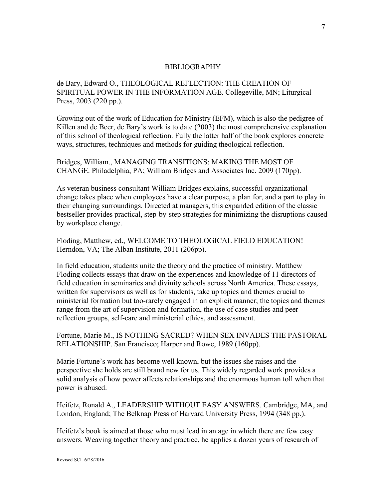### BIBLIOGRAPHY

de Bary, Edward O., THEOLOGICAL REFLECTION: THE CREATION OF SPIRITUAL POWER IN THE INFORMATION AGE. Collegeville, MN; Liturgical Press, 2003 (220 pp.).

Growing out of the work of Education for Ministry (EFM), which is also the pedigree of Killen and de Beer, de Bary's work is to date (2003) the most comprehensive explanation of this school of theological reflection. Fully the latter half of the book explores concrete ways, structures, techniques and methods for guiding theological reflection.

Bridges, William., MANAGING TRANSITIONS: MAKING THE MOST OF CHANGE. Philadelphia, PA; William Bridges and Associates Inc. 2009 (170pp).

As veteran business consultant William Bridges explains, successful organizational change takes place when employees have a clear purpose, a plan for, and a part to play in their changing surroundings. Directed at managers, this expanded edition of the classic bestseller provides practical, step-by-step strategies for minimizing the disruptions caused by workplace change.

Floding, Matthew, ed., WELCOME TO THEOLOGICAL FIELD EDUCATION! Herndon, VA; The Alban Institute, 2011 (206pp).

In field education, students unite the theory and the practice of ministry. Matthew Floding collects essays that draw on the experiences and knowledge of 11 directors of field education in seminaries and divinity schools across North America. These essays, written for supervisors as well as for students, take up topics and themes crucial to ministerial formation but too-rarely engaged in an explicit manner; the topics and themes range from the art of supervision and formation, the use of case studies and peer reflection groups, self-care and ministerial ethics, and assessment.

Fortune, Marie M., IS NOTHING SACRED? WHEN SEX INVADES THE PASTORAL RELATIONSHIP. San Francisco; Harper and Rowe, 1989 (160pp).

Marie Fortune's work has become well known, but the issues she raises and the perspective she holds are still brand new for us. This widely regarded work provides a solid analysis of how power affects relationships and the enormous human toll when that power is abused.

Heifetz, Ronald A., LEADERSHIP WITHOUT EASY ANSWERS. Cambridge, MA, and London, England; The Belknap Press of Harvard University Press, 1994 (348 pp.).

Heifetz's book is aimed at those who must lead in an age in which there are few easy answers. Weaving together theory and practice, he applies a dozen years of research of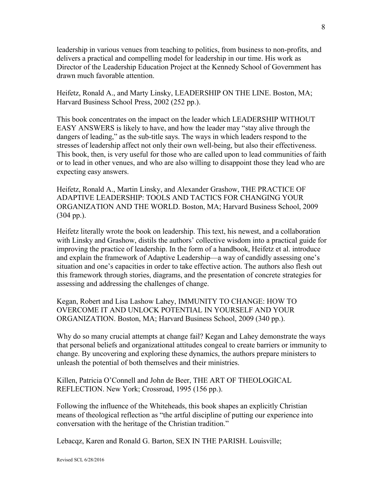leadership in various venues from teaching to politics, from business to non-profits, and delivers a practical and compelling model for leadership in our time. His work as Director of the Leadership Education Project at the Kennedy School of Government has drawn much favorable attention.

Heifetz, Ronald A., and Marty Linsky, LEADERSHIP ON THE LINE. Boston, MA; Harvard Business School Press, 2002 (252 pp.).

This book concentrates on the impact on the leader which LEADERSHIP WITHOUT EASY ANSWERS is likely to have, and how the leader may "stay alive through the dangers of leading," as the sub-title says. The ways in which leaders respond to the stresses of leadership affect not only their own well-being, but also their effectiveness. This book, then, is very useful for those who are called upon to lead communities of faith or to lead in other venues, and who are also willing to disappoint those they lead who are expecting easy answers.

Heifetz, Ronald A., Martin Linsky, and Alexander Grashow, THE PRACTICE OF ADAPTIVE LEADERSHIP: TOOLS AND TACTICS FOR CHANGING YOUR ORGANIZATION AND THE WORLD. Boston, MA; Harvard Business School, 2009 (304 pp.).

Heifetz literally wrote the book on leadership. This text, his newest, and a collaboration with Linsky and Grashow, distils the authors' collective wisdom into a practical guide for improving the practice of leadership. In the form of a handbook, Heifetz et al. introduce and explain the framework of Adaptive Leadership—a way of candidly assessing one's situation and one's capacities in order to take effective action. The authors also flesh out this framework through stories, diagrams, and the presentation of concrete strategies for assessing and addressing the challenges of change.

Kegan, Robert and Lisa Lashow Lahey, IMMUNITY TO CHANGE: HOW TO OVERCOME IT AND UNLOCK POTENTIAL IN YOURSELF AND YOUR ORGANIZATION. Boston, MA; Harvard Business School, 2009 (340 pp.).

Why do so many crucial attempts at change fail? Kegan and Lahey demonstrate the ways that personal beliefs and organizational attitudes congeal to create barriers or immunity to change. By uncovering and exploring these dynamics, the authors prepare ministers to unleash the potential of both themselves and their ministries.

Killen, Patricia O'Connell and John de Beer, THE ART OF THEOLOGICAL REFLECTION. New York; Crossroad, 1995 (156 pp.).

Following the influence of the Whiteheads, this book shapes an explicitly Christian means of theological reflection as "the artful discipline of putting our experience into conversation with the heritage of the Christian tradition."

Lebacqz, Karen and Ronald G. Barton, SEX IN THE PARISH. Louisville;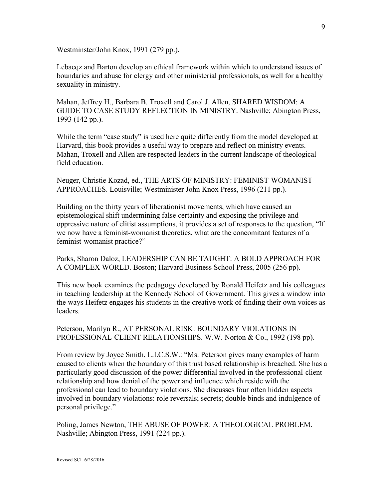Westminster/John Knox, 1991 (279 pp.).

Lebacqz and Barton develop an ethical framework within which to understand issues of boundaries and abuse for clergy and other ministerial professionals, as well for a healthy sexuality in ministry.

Mahan, Jeffrey H., Barbara B. Troxell and Carol J. Allen, SHARED WISDOM: A GUIDE TO CASE STUDY REFLECTION IN MINISTRY. Nashville; Abington Press, 1993 (142 pp.).

While the term "case study" is used here quite differently from the model developed at Harvard, this book provides a useful way to prepare and reflect on ministry events. Mahan, Troxell and Allen are respected leaders in the current landscape of theological field education.

Neuger, Christie Kozad, ed., THE ARTS OF MINISTRY: FEMINIST-WOMANIST APPROACHES. Louisville; Westminister John Knox Press, 1996 (211 pp.).

Building on the thirty years of liberationist movements, which have caused an epistemological shift undermining false certainty and exposing the privilege and oppressive nature of elitist assumptions, it provides a set of responses to the question, "If we now have a feminist-womanist theoretics, what are the concomitant features of a feminist-womanist practice?"

Parks, Sharon Daloz, LEADERSHIP CAN BE TAUGHT: A BOLD APPROACH FOR A COMPLEX WORLD. Boston; Harvard Business School Press, 2005 (256 pp).

This new book examines the pedagogy developed by Ronald Heifetz and his colleagues in teaching leadership at the Kennedy School of Government. This gives a window into the ways Heifetz engages his students in the creative work of finding their own voices as leaders.

Peterson, Marilyn R., AT PERSONAL RISK: BOUNDARY VIOLATIONS IN PROFESSIONAL-CLIENT RELATIONSHIPS. W.W. Norton & Co., 1992 (198 pp).

From review by Joyce Smith, L.I.C.S.W.: "Ms. Peterson gives many examples of harm caused to clients when the boundary of this trust based relationship is breached. She has a particularly good discussion of the power differential involved in the professional-client relationship and how denial of the power and influence which reside with the professional can lead to boundary violations. She discusses four often hidden aspects involved in boundary violations: role reversals; secrets; double binds and indulgence of personal privilege."

Poling, James Newton, THE ABUSE OF POWER: A THEOLOGICAL PROBLEM. Nashville; Abington Press, 1991 (224 pp.).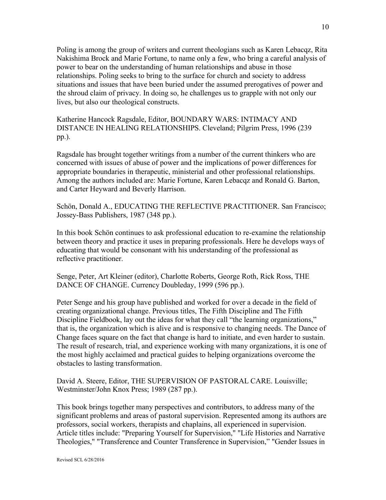Poling is among the group of writers and current theologians such as Karen Lebacqz, Rita Nakishima Brock and Marie Fortune, to name only a few, who bring a careful analysis of power to bear on the understanding of human relationships and abuse in those relationships. Poling seeks to bring to the surface for church and society to address situations and issues that have been buried under the assumed prerogatives of power and the shroud claim of privacy. In doing so, he challenges us to grapple with not only our lives, but also our theological constructs.

Katherine Hancock Ragsdale, Editor, BOUNDARY WARS: INTIMACY AND DISTANCE IN HEALING RELATIONSHIPS. Cleveland; Pilgrim Press, 1996 (239 pp.).

Ragsdale has brought together writings from a number of the current thinkers who are concerned with issues of abuse of power and the implications of power differences for appropriate boundaries in therapeutic, ministerial and other professional relationships. Among the authors included are: Marie Fortune, Karen Lebacqz and Ronald G. Barton, and Carter Heyward and Beverly Harrison.

Schön, Donald A., EDUCATING THE REFLECTIVE PRACTITIONER. San Francisco; Jossey-Bass Publishers, 1987 (348 pp.).

In this book Schön continues to ask professional education to re-examine the relationship between theory and practice it uses in preparing professionals. Here he develops ways of educating that would be consonant with his understanding of the professional as reflective practitioner.

Senge, Peter, Art Kleiner (editor), Charlotte Roberts, George Roth, Rick Ross, THE DANCE OF CHANGE. Currency Doubleday, 1999 (596 pp.).

Peter Senge and his group have published and worked for over a decade in the field of creating organizational change. Previous titles, The Fifth Discipline and The Fifth Discipline Fieldbook, lay out the ideas for what they call "the learning organizations," that is, the organization which is alive and is responsive to changing needs. The Dance of Change faces square on the fact that change is hard to initiate, and even harder to sustain. The result of research, trial, and experience working with many organizations, it is one of the most highly acclaimed and practical guides to helping organizations overcome the obstacles to lasting transformation.

David A. Steere, Editor, THE SUPERVISION OF PASTORAL CARE. Louisville; Westminster/John Knox Press; 1989 (287 pp.).

This book brings together many perspectives and contributors, to address many of the significant problems and areas of pastoral supervision. Represented among its authors are professors, social workers, therapists and chaplains, all experienced in supervision. Article titles include: "Preparing Yourself for Supervision," "Life Histories and Narrative Theologies," "Transference and Counter Transference in Supervision," "Gender Issues in